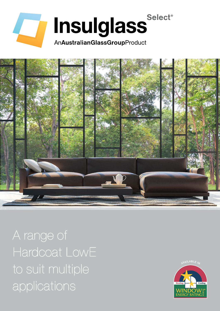



A range of Hardcoat LowE to suit multiple applications